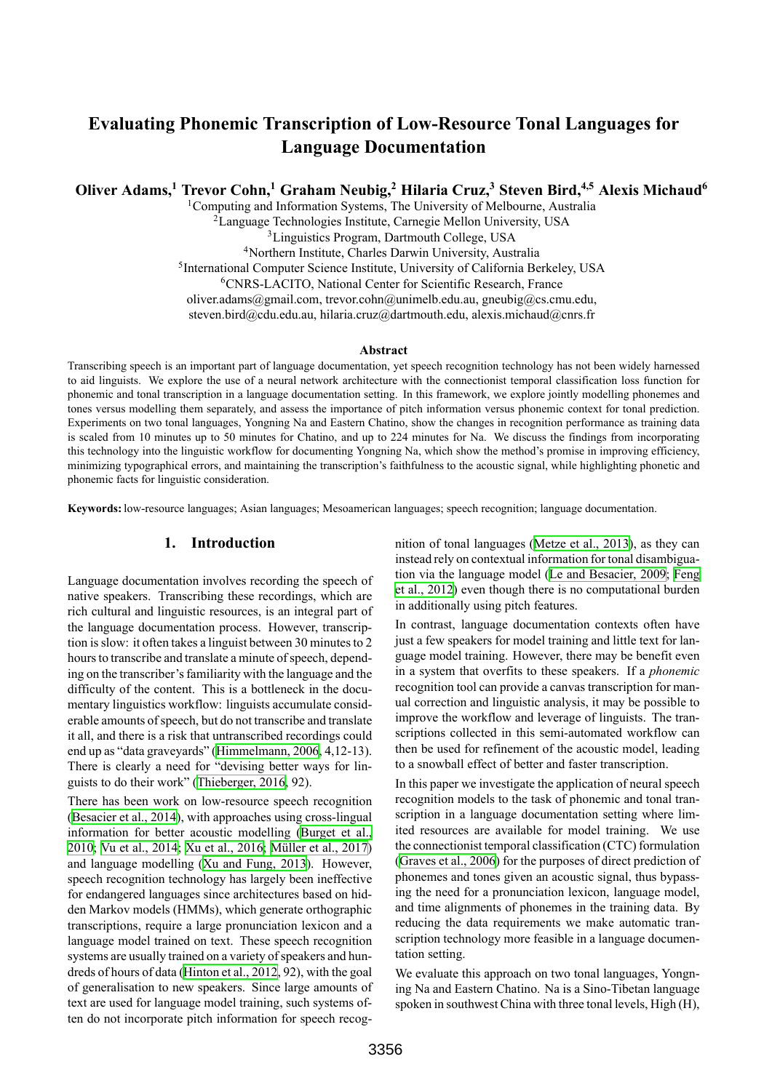# **Evaluating Phonemic Transcription of Low-Resource Tonal Languages for Language Documentation**

**Oliver Adams,<sup>1</sup> Trevor Cohn,<sup>1</sup> Graham Neubig,<sup>2</sup> Hilaria Cruz,<sup>3</sup> Steven Bird,4,5 Alexis Michaud<sup>6</sup>**

<sup>1</sup>Computing and Information Systems, The University of Melbourne, Australia

<sup>2</sup>Language Technologies Institute, Carnegie Mellon University, USA

<sup>3</sup>Linguistics Program, Dartmouth College, USA

<sup>4</sup>Northern Institute, Charles Darwin University, Australia

<sup>5</sup>International Computer Science Institute, University of California Berkeley, USA

<sup>6</sup>CNRS-LACITO, National Center for Scientific Research, France

oliver.adams@gmail.com, trevor.cohn@unimelb.edu.au, gneubig@cs.cmu.edu,

steven.bird@cdu.edu.au, hilaria.cruz@dartmouth.edu, alexis.michaud@cnrs.fr

#### **Abstract**

Transcribing speech is an important part of language documentation, yet speech recognition technology has not been widely harnessed to aid linguists. We explore the use of a neural network architecture with the connectionist temporal classification loss function for phonemic and tonal transcription in a language documentation setting. In this framework, we explore jointly modelling phonemes and tones versus modelling them separately, and assess the importance of pitch information versus phonemic context for tonal prediction. Experiments on two tonal languages, Yongning Na and Eastern Chatino, show the changes in recognition performance as training data is scaled from 10 minutes up to 50 minutes for Chatino, and up to 224 minutes for Na. We discuss the findings from incorporating this technology into the linguistic workflow for documenting Yongning Na, which show the method's promise in improving efficiency, minimizing typographical errors, and maintaining the transcription's faithfulness to the acoustic signal, while highlighting phonetic and phonemic facts for linguistic consideration.

**Keywords:** low-resource languages; Asian languages; Mesoamerican languages; speech recognition; language documentation.

# **1. Introduction**

Language documentation involves recording the speech of native speakers. Transcribing these recordings, which are rich cultural and linguistic resources, is an integral part of the language documentation process. However, transcription is slow: it often takes a linguist between 30 minutes to 2 hours to transcribe and translate a minute of speech, depending on the transcriber's familiarity with the language and the difficulty of the content. This is a bottleneck in the documentary linguistics workflow: linguists accumulate considerable amounts of speech, but do not transcribe and translate it all, and there is a risk that untranscribed recordings could end up as "data graveyards"([Himmelmann, 2006,](#page-8-0) 4,12-13). There is clearly a need for "devising better ways for linguists to do their work" [\(Thieberger, 2016](#page-9-0), 92).

There has been work on low-resource speech recognition [\(Besacier et al., 2014](#page-8-1)), with approaches using cross-lingual information for better acoustic modelling([Burget et al.,](#page-8-2) [2010](#page-8-2); [Vu et al., 2014](#page-9-1); [Xu et al., 2016;](#page-9-2) [Müller et al., 2017\)](#page-9-3) and language modelling [\(Xu and Fung, 2013](#page-9-4)). However, speech recognition technology has largely been ineffective for endangered languages since architectures based on hidden Markov models (HMMs), which generate orthographic transcriptions, require a large pronunciation lexicon and a language model trained on text. These speech recognition systems are usually trained on a variety of speakers and hundreds of hours of data([Hinton et al., 2012](#page-8-3), 92), with the goal of generalisation to new speakers. Since large amounts of text are used for language model training, such systems often do not incorporate pitch information for speech recognition of tonal languages([Metze et al., 2013](#page-8-4)), as they can instead rely on contextual information for tonal disambiguation via the language model([Le and Besacier, 2009;](#page-8-5) [Feng](#page-8-6) [et al., 2012\)](#page-8-6) even though there is no computational burden in additionally using pitch features.

In contrast, language documentation contexts often have just a few speakers for model training and little text for language model training. However, there may be benefit even in a system that overfits to these speakers. If a *phonemic* recognition tool can provide a canvas transcription for manual correction and linguistic analysis, it may be possible to improve the workflow and leverage of linguists. The transcriptions collected in this semi-automated workflow can then be used for refinement of the acoustic model, leading to a snowball effect of better and faster transcription.

In this paper we investigate the application of neural speech recognition models to the task of phonemic and tonal transcription in a language documentation setting where limited resources are available for model training. We use the connectionist temporal classification (CTC) formulation [\(Graves et al., 2006](#page-8-7)) for the purposes of direct prediction of phonemes and tones given an acoustic signal, thus bypassing the need for a pronunciation lexicon, language model, and time alignments of phonemes in the training data. By reducing the data requirements we make automatic transcription technology more feasible in a language documentation setting.

We evaluate this approach on two tonal languages, Yongning Na and Eastern Chatino. Na is a Sino-Tibetan language spoken in southwest China with three tonal levels, High (H),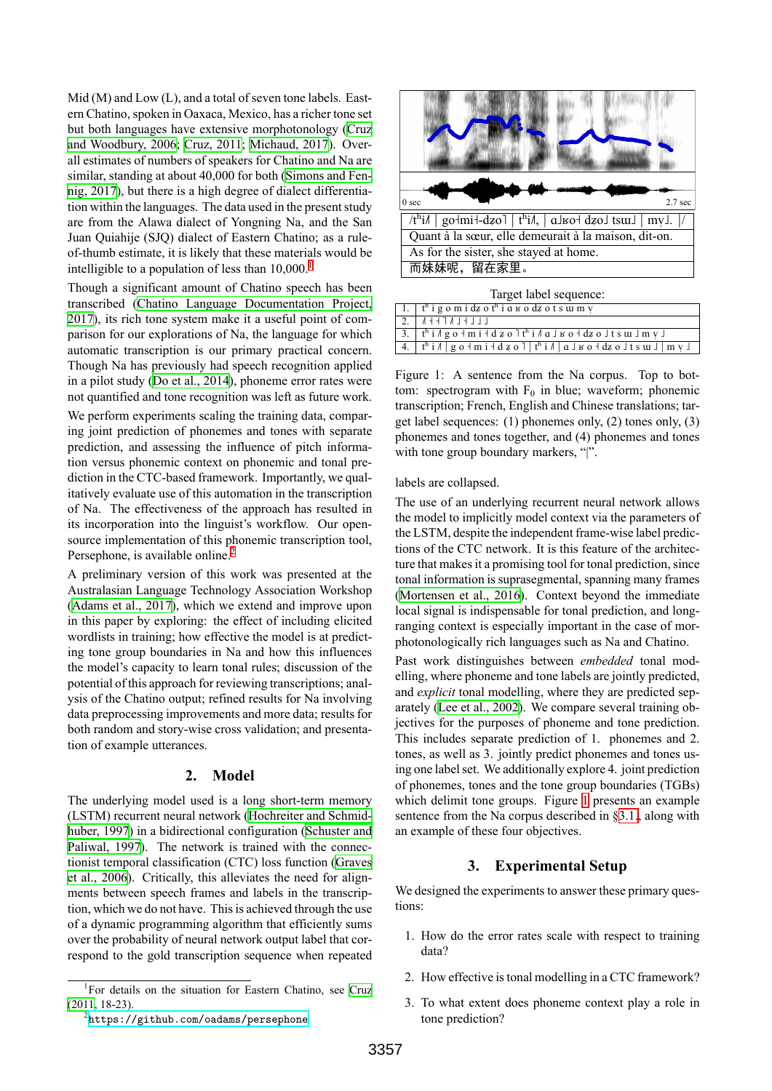Mid (M) and Low (L), and a total of seven tone labels. Eastern Chatino, spoken in Oaxaca, Mexico, has a richer tone set but both languages have extensive morphotonology([Cruz](#page-8-8) [and Woodbury, 2006](#page-8-8); [Cruz, 2011;](#page-8-9) [Michaud, 2017](#page-8-10)). Overall estimates of numbers of speakers for Chatino and Na are similar, standing at about 40,000 for both [\(Simons and Fen](#page-9-5)[nig, 2017\)](#page-9-5), but there is a high degree of dialect differentiation within the languages. The data used in the present study are from the Alawa dialect of Yongning Na, and the San Juan Quiahije (SJQ) dialect of Eastern Chatino; as a ruleof-thumb estimate, it is likely that these materials would be intelligible to a population of less than  $10,000$  $10,000$ .<sup>1</sup>

Though a significant amount of Chatino speech has been transcribed([Chatino Language Documentation Project,](#page-8-11) [2017](#page-8-11)), its rich tone system make it a useful point of comparison for our explorations of Na, the language for which automatic transcription is our primary practical concern. Though Na has previously had speech recognition applied in a pilot study([Do et al., 2014\)](#page-8-12), phoneme error rates were not quantified and tone recognition was left as future work. We perform experiments scaling the training data, comparing joint prediction of phonemes and tones with separate prediction, and assessing the influence of pitch information versus phonemic context on phonemic and tonal prediction in the CTC-based framework. Importantly, we qualitatively evaluate use of this automation in the transcription of Na. The effectiveness of the approach has resulted in its incorporation into the linguist's workflow. Our opensource implementation of this phonemic transcription tool, Persephone, is available online.<sup>[2](#page-1-1)</sup>

A preliminary version of this work was presented at the Australasian Language Technology Association Workshop [\(Adams et al., 2017](#page-8-13)), which we extend and improve upon in this paper by exploring: the effect of including elicited wordlists in training; how effective the model is at predicting tone group boundaries in Na and how this influences the model's capacity to learn tonal rules; discussion of the potential of this approach for reviewing transcriptions; analysis of the Chatino output; refined results for Na involving data preprocessing improvements and more data; results for both random and story-wise cross validation; and presentation of example utterances.

## **2. Model**

<span id="page-1-3"></span>The underlying model used is a long short-term memory (LSTM) recurrent neural network([Hochreiter and Schmid](#page-8-14)[huber, 1997\)](#page-8-14) in a bidirectional configuration([Schuster and](#page-9-6) [Paliwal, 1997](#page-9-6)). The network is trained with the connectionist temporal classification (CTC) loss function([Graves](#page-8-7) [et al., 2006](#page-8-7)). Critically, this alleviates the need for alignments between speech frames and labels in the transcription, which we do not have. This is achieved through the use of a dynamic programming algorithm that efficiently sums over the probability of neural network output label that correspond to the gold transcription sequence when repeated



| Target label sequence: |  |
|------------------------|--|
|------------------------|--|

| $\vert$ 1. $\vert$ t <sup>h</sup> i g o m i dz o t <sup>h</sup> i a $\vert$ o dz o t s $\vert$ m $\vert$                                                             |
|----------------------------------------------------------------------------------------------------------------------------------------------------------------------|
| $2.  $ $A+1$ $I+1$                                                                                                                                                   |
| $\frac{3}{3}$ . $t^h$ i $\frac{1}{2}$ g o + m i + d z o $\frac{1}{2}$ t <sup>h</sup> i $\frac{1}{2}$ g o + dz o $\frac{1}{2}$ t s w $\frac{1}{2}$ m $\frac{1}{2}$    |
| $\boxed{4.}$ $\boxed{t^h$ i $\frac{1}{2}$ g o + m i + d z o $\boxed{t^h$ i $\frac{1}{2}$ a $\boxed{g}$ is o + dz o $\boxed{t}$ s $\boxed{u}$ $\boxed{m}$ $\boxed{v}$ |

<span id="page-1-2"></span>Figure 1: A sentence from the Na corpus. Top to bottom: spectrogram with  $F_0$  in blue; waveform; phonemic transcription; French, English and Chinese translations; target label sequences: (1) phonemes only, (2) tones only, (3) phonemes and tones together, and (4) phonemes and tones with tone group boundary markers, "|".

labels are collapsed.

The use of an underlying recurrent neural network allows the model to implicitly model context via the parameters of the LSTM, despite the independent frame-wise label predictions of the CTC network. It is this feature of the architecture that makes it a promising tool for tonal prediction, since tonal information is suprasegmental, spanning many frames [\(Mortensen et al., 2016](#page-8-15)). Context beyond the immediate local signal is indispensable for tonal prediction, and longranging context is especially important in the case of morphotonologically rich languages such as Na and Chatino.

Past work distinguishes between *embedded* tonal modelling, where phoneme and tone labels are jointly predicted, and *explicit* tonal modelling, where they are predicted separately([Lee et al., 2002\)](#page-8-16). We compare several training objectives for the purposes of phoneme and tone prediction. This includes separate prediction of 1. phonemes and 2. tones, as well as 3. jointly predict phonemes and tones using one label set. We additionally explore 4. joint prediction of phonemes, tones and the tone group boundaries (TGBs) which delimit tone groups. Figure [1](#page-1-2) presents an example sentence from the Na corpus described in [§3.1.](#page-2-0), along with an example of these four objectives.

## **3. Experimental Setup**

We designed the experiments to answer these primary questions:

- 1. How do the error rates scale with respect to training data?
- 2. How effective is tonal modelling in a CTC framework?
- 3. To what extent does phoneme context play a role in tone prediction?

<span id="page-1-0"></span><sup>&</sup>lt;sup>1</sup>For details on the situation for Eastern Chatino, see [Cruz](#page-8-9) [\(2011,](#page-8-9) 18-23).

<span id="page-1-1"></span> $^2$ <https://github.com/oadams/persephone>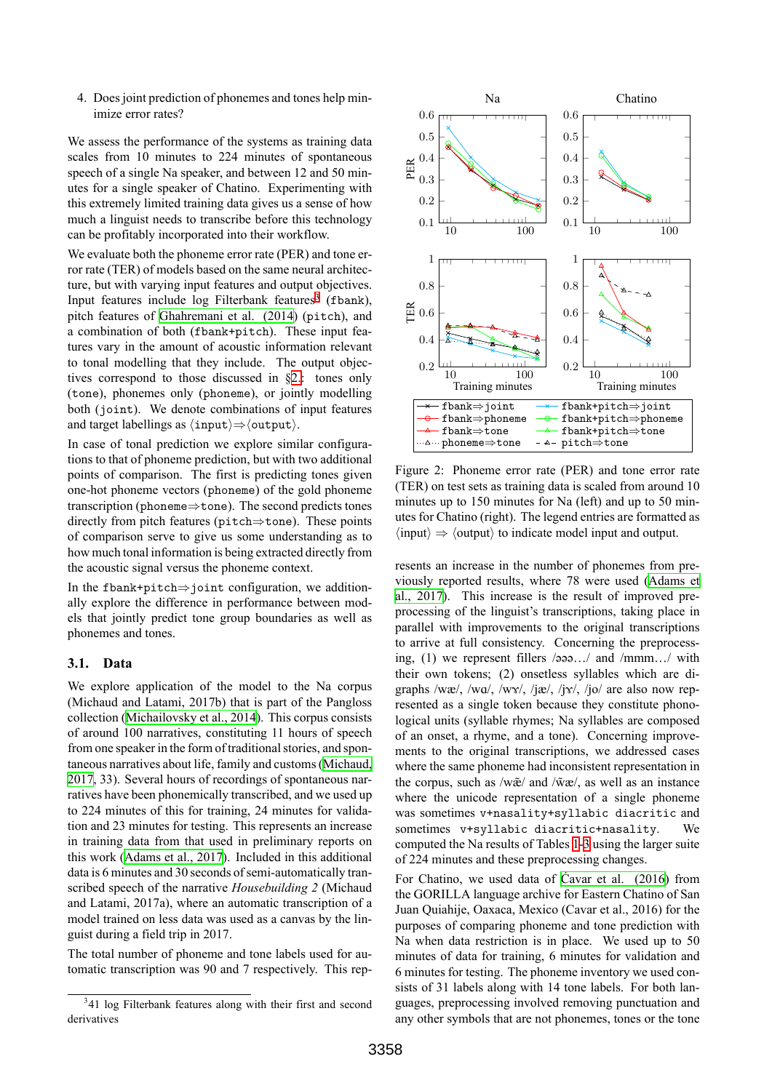4. Does joint prediction of phonemes and tones help minimize error rates?

We assess the performance of the systems as training data scales from 10 minutes to 224 minutes of spontaneous speech of a single Na speaker, and between 12 and 50 minutes for a single speaker of Chatino. Experimenting with this extremely limited training data gives us a sense of how much a linguist needs to transcribe before this technology can be profitably incorporated into their workflow.

We evaluate both the phoneme error rate (PER) and tone error rate (TER) of models based on the same neural architecture, but with varying input features and output objectives. Input features include  $log$  Filterbank features<sup>[3](#page-2-1)</sup> (fbank), pitch features of [Ghahremani et al. \(2014](#page-8-17)) (pitch), and a combination of both (fbank+pitch). These input features vary in the amount of acoustic information relevant to tonal modelling that they include. The output objectives correspond to those discussed in §[2.](#page-1-3): tones only (tone), phonemes only (phoneme), or jointly modelling both (joint). We denote combinations of input features and target labellings as *⟨*input*⟩⇒⟨*output*⟩*.

In case of tonal prediction we explore similar configurations to that of phoneme prediction, but with two additional points of comparison. The first is predicting tones given one-hot phoneme vectors (phoneme) of the gold phoneme transcription (phoneme*⇒*tone). The second predicts tones directly from pitch features (pitch*⇒*tone). These points of comparison serve to give us some understanding as to how much tonal information is being extracted directly from the acoustic signal versus the phoneme context.

In the fbank+pitch*⇒*joint configuration, we additionally explore the difference in performance between models that jointly predict tone group boundaries as well as phonemes and tones.

## <span id="page-2-0"></span>**3.1. Data**

We explore application of the model to the Na corpus (Michaud and Latami, 2017b) that is part of the Pangloss collection([Michailovsky et al., 2014\)](#page-8-18). This corpus consists of around 100 narratives, constituting 11 hours of speech from one speaker in the form of traditional stories, and spontaneous narratives about life, family and customs [\(Michaud,](#page-8-10) [2017](#page-8-10), 33). Several hours of recordings of spontaneous narratives have been phonemically transcribed, and we used up to 224 minutes of this for training, 24 minutes for validation and 23 minutes for testing. This represents an increase in training data from that used in preliminary reports on this work([Adams et al., 2017\)](#page-8-13). Included in this additional data is 6 minutes and 30 seconds of semi-automatically transcribed speech of the narrative *Housebuilding 2* (Michaud and Latami, 2017a), where an automatic transcription of a model trained on less data was used as a canvas by the linguist during a field trip in 2017.

The total number of phoneme and tone labels used for automatic transcription was 90 and 7 respectively. This rep-



<span id="page-2-2"></span>Figure 2: Phoneme error rate (PER) and tone error rate (TER) on test sets as training data is scaled from around 10 minutes up to 150 minutes for Na (left) and up to 50 minutes for Chatino (right). The legend entries are formatted as *⟨*input*⟩ ⇒ ⟨*output*⟩* to indicate model input and output.

resents an increase in the number of phonemes from previously reported results, where 78 were used [\(Adams et](#page-8-13) [al., 2017\)](#page-8-13). This increase is the result of improved preprocessing of the linguist's transcriptions, taking place in parallel with improvements to the original transcriptions to arrive at full consistency. Concerning the preprocessing, (1) we represent fillers /əəə…/ and /mmm…/ with their own tokens; (2) onsetless syllables which are digraphs /wæ/, /wɑ/, /wɤ/, /jæ/, /jɤ/, /jo/ are also now represented as a single token because they constitute phonological units (syllable rhymes; Na syllables are composed of an onset, a rhyme, and a tone). Concerning improvements to the original transcriptions, we addressed cases where the same phoneme had inconsistent representation in the corpus, such as  $/w\tilde{x}$  and  $/\tilde{w}x$ , as well as an instance where the unicode representation of a single phoneme was sometimes v+nasality+syllabic diacritic and sometimes v+syllabic diacritic+nasality. We computed the Na results of Tables [1-](#page-3-0)[3](#page-4-0) using the larger suite of 224 minutes and these preprocessing changes.

For Chatino, we used data of [Ćavar et al. \(2016\)](#page-8-19) from the GORILLA language archive for Eastern Chatino of San Juan Quiahije, Oaxaca, Mexico (Cavar et al., 2016) for the purposes of comparing phoneme and tone prediction with Na when data restriction is in place. We used up to 50 minutes of data for training, 6 minutes for validation and 6 minutes for testing. The phoneme inventory we used consists of 31 labels along with 14 tone labels. For both languages, preprocessing involved removing punctuation and any other symbols that are not phonemes, tones or the tone

<span id="page-2-1"></span><sup>&</sup>lt;sup>3</sup>41 log Filterbank features along with their first and second derivatives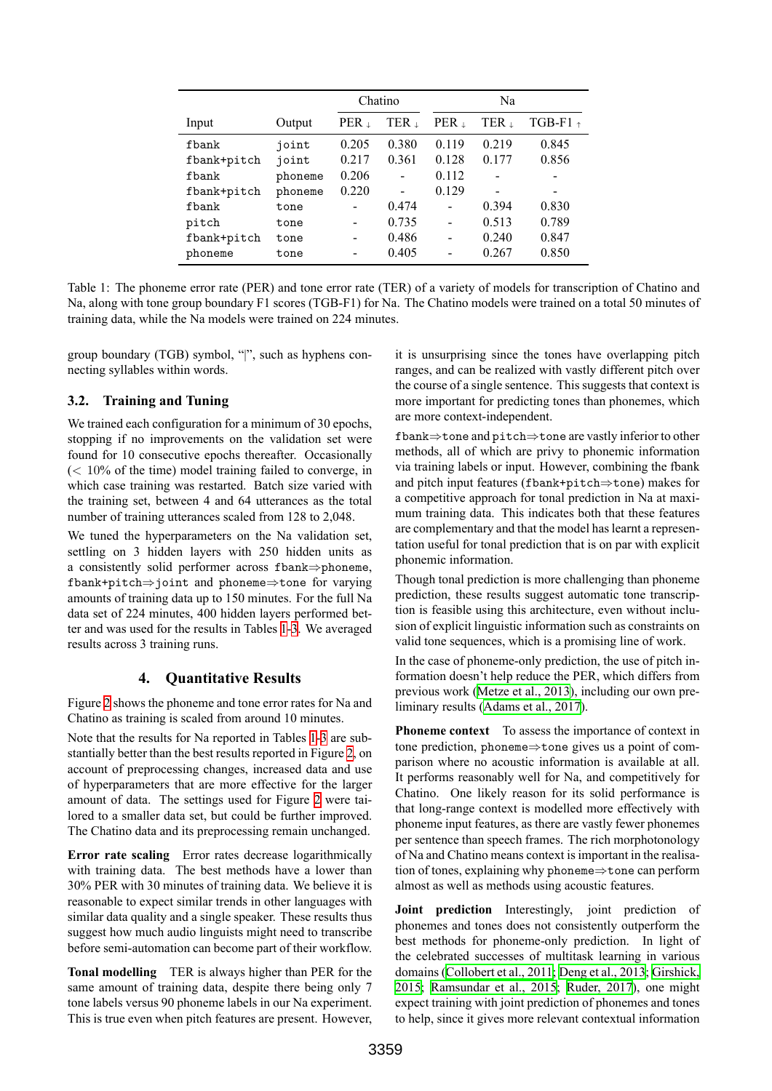|             |         | Chatino |       | Na             |       |                          |
|-------------|---------|---------|-------|----------------|-------|--------------------------|
| Input       | Output  | PER 1   | TER 1 | PER 1          | TER 1 | TGB-F1 $_{\uparrow}$     |
| fbank       | joint   | 0.205   | 0.380 | 0.119          | 0.219 | 0.845                    |
| fbank+pitch | joint   | 0.217   | 0.361 | 0.128          | 0.177 | 0.856                    |
| fbank       | phoneme | 0.206   |       | 0.112          |       |                          |
| fbank+pitch | phoneme | 0.220   |       | 0.129          |       | $\overline{\phantom{0}}$ |
| fbank       | tone    | -       | 0.474 | $\overline{a}$ | 0.394 | 0.830                    |
| pitch       | tone    | -       | 0.735 | $\overline{a}$ | 0.513 | 0.789                    |
| fbank+pitch | tone    | -       | 0.486 |                | 0.240 | 0.847                    |
| phoneme     | tone    | -       | 0.405 |                | 0.267 | 0.850                    |

<span id="page-3-0"></span>Table 1: The phoneme error rate (PER) and tone error rate (TER) of a variety of models for transcription of Chatino and Na, along with tone group boundary F1 scores (TGB-F1) for Na. The Chatino models were trained on a total 50 minutes of training data, while the Na models were trained on 224 minutes.

group boundary (TGB) symbol, "|", such as hyphens connecting syllables within words.

# **3.2. Training and Tuning**

We trained each configuration for a minimum of 30 epochs, stopping if no improvements on the validation set were found for 10 consecutive epochs thereafter. Occasionally (*<* 10% of the time) model training failed to converge, in which case training was restarted. Batch size varied with the training set, between 4 and 64 utterances as the total number of training utterances scaled from 128 to 2,048.

We tuned the hyperparameters on the Na validation set, settling on 3 hidden layers with 250 hidden units as a consistently solid performer across fbank*⇒*phoneme, fbank+pitch*⇒*joint and phoneme*⇒*tone for varying amounts of training data up to 150 minutes. For the full Na data set of 224 minutes, 400 hidden layers performed better and was used for the results in Tables [1](#page-3-0)-[3.](#page-4-0) We averaged results across 3 training runs.

# **4. Quantitative Results**

<span id="page-3-1"></span>Figure [2](#page-2-2) shows the phoneme and tone error rates for Na and Chatino as training is scaled from around 10 minutes.

Note that the results for Na reported in Tables [1](#page-3-0)[-3](#page-4-0) are substantially better than the best results reported in Figure [2](#page-2-2), on account of preprocessing changes, increased data and use of hyperparameters that are more effective for the larger amount of data. The settings used for Figure [2](#page-2-2) were tailored to a smaller data set, but could be further improved. The Chatino data and its preprocessing remain unchanged.

**Error rate scaling** Error rates decrease logarithmically with training data. The best methods have a lower than 30% PER with 30 minutes of training data. We believe it is reasonable to expect similar trends in other languages with similar data quality and a single speaker. These results thus suggest how much audio linguists might need to transcribe before semi-automation can become part of their workflow.

**Tonal modelling** TER is always higher than PER for the same amount of training data, despite there being only 7 tone labels versus 90 phoneme labels in our Na experiment. This is true even when pitch features are present. However, it is unsurprising since the tones have overlapping pitch ranges, and can be realized with vastly different pitch over the course of a single sentence. This suggests that context is more important for predicting tones than phonemes, which are more context-independent.

fbank*⇒*tone and pitch*⇒*tone are vastly inferior to other methods, all of which are privy to phonemic information via training labels or input. However, combining the fbank and pitch input features (fbank+pitch*⇒*tone) makes for a competitive approach for tonal prediction in Na at maximum training data. This indicates both that these features are complementary and that the model has learnt a representation useful for tonal prediction that is on par with explicit phonemic information.

Though tonal prediction is more challenging than phoneme prediction, these results suggest automatic tone transcription is feasible using this architecture, even without inclusion of explicit linguistic information such as constraints on valid tone sequences, which is a promising line of work.

In the case of phoneme-only prediction, the use of pitch information doesn't help reduce the PER, which differs from previous work([Metze et al., 2013\)](#page-8-4), including our own preliminary results([Adams et al., 2017\)](#page-8-13).

**Phoneme context** To assess the importance of context in tone prediction, phoneme*⇒*tone gives us a point of comparison where no acoustic information is available at all. It performs reasonably well for Na, and competitively for Chatino. One likely reason for its solid performance is that long-range context is modelled more effectively with phoneme input features, as there are vastly fewer phonemes per sentence than speech frames. The rich morphotonology of Na and Chatino means context is important in the realisation of tones, explaining why phoneme*⇒*tone can perform almost as well as methods using acoustic features.

**Joint prediction** Interestingly, joint prediction of phonemes and tones does not consistently outperform the best methods for phoneme-only prediction. In light of the celebrated successes of multitask learning in various domains([Collobert et al., 2011](#page-8-20); [Deng et al., 2013](#page-8-21); [Girshick,](#page-8-22) [2015;](#page-8-22) [Ramsundar et al., 2015](#page-9-7); [Ruder, 2017\)](#page-9-8), one might expect training with joint prediction of phonemes and tones to help, since it gives more relevant contextual information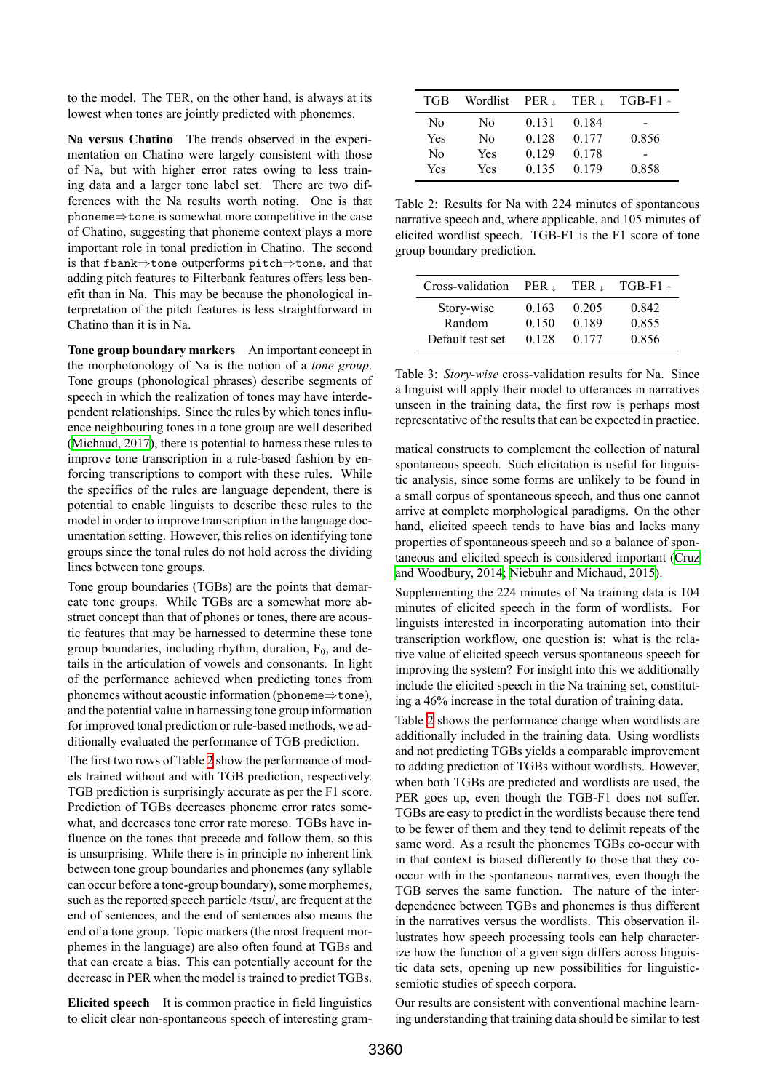to the model. The TER, on the other hand, is always at its lowest when tones are jointly predicted with phonemes.

**Na versus Chatino** The trends observed in the experimentation on Chatino were largely consistent with those of Na, but with higher error rates owing to less training data and a larger tone label set. There are two differences with the Na results worth noting. One is that phoneme*⇒*tone is somewhat more competitive in the case of Chatino, suggesting that phoneme context plays a more important role in tonal prediction in Chatino. The second is that fbank*⇒*tone outperforms pitch*⇒*tone, and that adding pitch features to Filterbank features offers less benefit than in Na. This may be because the phonological interpretation of the pitch features is less straightforward in Chatino than it is in Na.

**Tone group boundary markers** An important concept in the morphotonology of Na is the notion of a *tone group*. Tone groups (phonological phrases) describe segments of speech in which the realization of tones may have interdependent relationships. Since the rules by which tones influence neighbouring tones in a tone group are well described [\(Michaud, 2017\)](#page-8-10), there is potential to harness these rules to improve tone transcription in a rule-based fashion by enforcing transcriptions to comport with these rules. While the specifics of the rules are language dependent, there is potential to enable linguists to describe these rules to the model in order to improve transcription in the language documentation setting. However, this relies on identifying tone groups since the tonal rules do not hold across the dividing lines between tone groups.

Tone group boundaries (TGBs) are the points that demarcate tone groups. While TGBs are a somewhat more abstract concept than that of phones or tones, there are acoustic features that may be harnessed to determine these tone group boundaries, including rhythm, duration,  $F_0$ , and details in the articulation of vowels and consonants. In light of the performance achieved when predicting tones from phonemes without acoustic information (phoneme*⇒*tone), and the potential value in harnessing tone group information for improved tonal prediction or rule-based methods, we additionally evaluated the performance of TGB prediction.

The first two rows of Table [2](#page-4-1) show the performance of models trained without and with TGB prediction, respectively. TGB prediction is surprisingly accurate as per the F1 score. Prediction of TGBs decreases phoneme error rates somewhat, and decreases tone error rate moreso. TGBs have influence on the tones that precede and follow them, so this is unsurprising. While there is in principle no inherent link between tone group boundaries and phonemes (any syllable can occur before a tone-group boundary), some morphemes, such as the reported speech particle /tsɯ/, are frequent at the end of sentences, and the end of sentences also means the end of a tone group. Topic markers (the most frequent morphemes in the language) are also often found at TGBs and that can create a bias. This can potentially account for the decrease in PER when the model is trained to predict TGBs.

**Elicited speech** It is common practice in field linguistics to elicit clear non-spontaneous speech of interesting gram-

| TGB            | Wordlist $PER_{\perp}$ |       | TER <sub>1</sub> | $TGB-F1$ $\rightarrow$ |
|----------------|------------------------|-------|------------------|------------------------|
| No             | No                     | 0.131 | 0.184            |                        |
| Yes            | N <sub>0</sub>         | 0.128 | 0.177            | 0.856                  |
| N <sub>0</sub> | Yes                    | 0.129 | 0.178            |                        |
| Yes            | Yes                    | 0.135 | 0.179            | 0.858                  |

<span id="page-4-1"></span>Table 2: Results for Na with 224 minutes of spontaneous narrative speech and, where applicable, and 105 minutes of elicited wordlist speech. TGB-F1 is the F1 score of tone group boundary prediction.

| Cross-validation     | $PER+$         | TER 1          | $TGB-F1$ $\rightarrow$ |
|----------------------|----------------|----------------|------------------------|
| Story-wise<br>Random | 0.163<br>0.150 | 0.205<br>0.189 | 0.842<br>0.855         |
| Default test set     | 0.128          | 0.177          | 0.856                  |

<span id="page-4-0"></span>Table 3: *Story-wise* cross-validation results for Na. Since a linguist will apply their model to utterances in narratives unseen in the training data, the first row is perhaps most representative of the results that can be expected in practice.

matical constructs to complement the collection of natural spontaneous speech. Such elicitation is useful for linguistic analysis, since some forms are unlikely to be found in a small corpus of spontaneous speech, and thus one cannot arrive at complete morphological paradigms. On the other hand, elicited speech tends to have bias and lacks many properties of spontaneous speech and so a balance of spontaneous and elicited speech is considered important [\(Cruz](#page-8-23) [and Woodbury, 2014;](#page-8-23) [Niebuhr and Michaud, 2015](#page-9-9)).

Supplementing the 224 minutes of Na training data is 104 minutes of elicited speech in the form of wordlists. For linguists interested in incorporating automation into their transcription workflow, one question is: what is the relative value of elicited speech versus spontaneous speech for improving the system? For insight into this we additionally include the elicited speech in the Na training set, constituting a 46% increase in the total duration of training data.

Table [2](#page-4-1) shows the performance change when wordlists are additionally included in the training data. Using wordlists and not predicting TGBs yields a comparable improvement to adding prediction of TGBs without wordlists. However, when both TGBs are predicted and wordlists are used, the PER goes up, even though the TGB-F1 does not suffer. TGBs are easy to predict in the wordlists because there tend to be fewer of them and they tend to delimit repeats of the same word. As a result the phonemes TGBs co-occur with in that context is biased differently to those that they cooccur with in the spontaneous narratives, even though the TGB serves the same function. The nature of the interdependence between TGBs and phonemes is thus different in the narratives versus the wordlists. This observation illustrates how speech processing tools can help characterize how the function of a given sign differs across linguistic data sets, opening up new possibilities for linguisticsemiotic studies of speech corpora.

Our results are consistent with conventional machine learning understanding that training data should be similar to test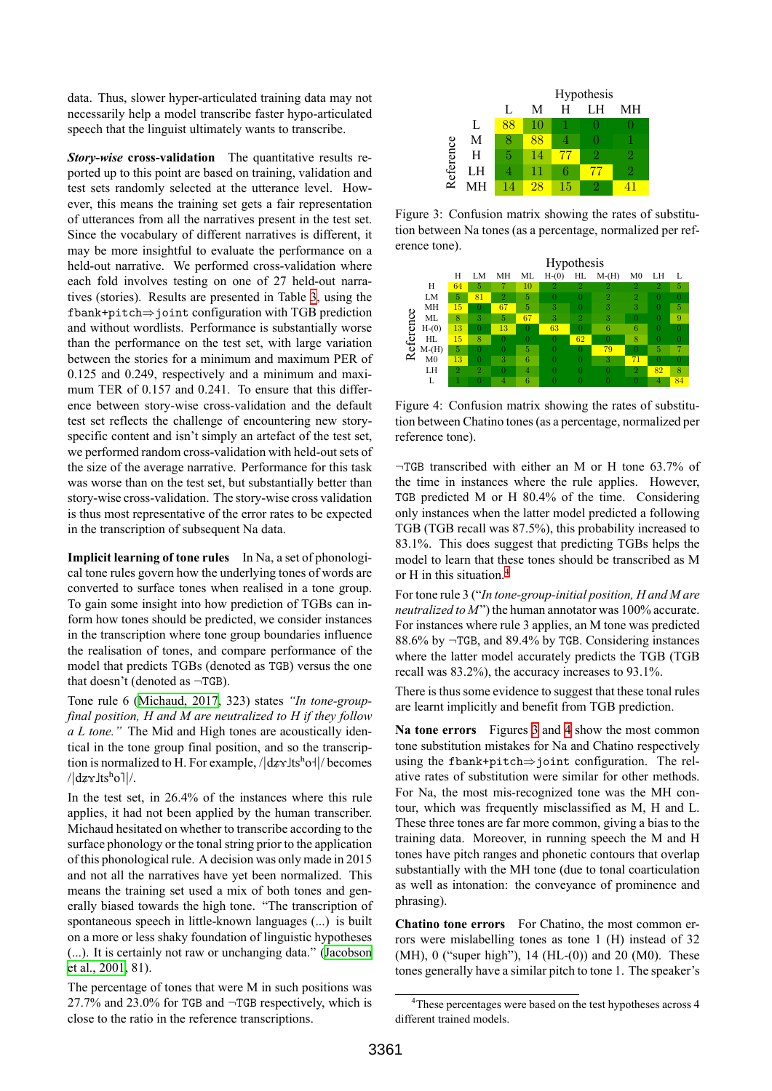data. Thus, slower hyper-articulated training data may not necessarily help a model transcribe faster hypo-articulated speech that the linguist ultimately wants to transcribe.

*Story-wise* **cross-validation** The quantitative results reported up to this point are based on training, validation and test sets randomly selected at the utterance level. However, this means the training set gets a fair representation of utterances from all the narratives present in the test set. Since the vocabulary of different narratives is different, it may be more insightful to evaluate the performance on a held-out narrative. We performed cross-validation where each fold involves testing on one of 27 held-out narratives (stories). Results are presented in Table [3](#page-4-0), using the fbank+pitch*⇒*joint configuration with TGB prediction and without wordlists. Performance is substantially worse than the performance on the test set, with large variation between the stories for a minimum and maximum PER of 0.125 and 0.249, respectively and a minimum and maximum TER of 0.157 and 0.241. To ensure that this difference between story-wise cross-validation and the default test set reflects the challenge of encountering new storyspecific content and isn't simply an artefact of the test set, we performed random cross-validation with held-out sets of the size of the average narrative. Performance for this task was worse than on the test set, but substantially better than story-wise cross-validation. The story-wise cross validation is thus most representative of the error rates to be expected in the transcription of subsequent Na data.

**Implicit learning of tone rules** In Na, a set of phonological tone rules govern how the underlying tones of words are converted to surface tones when realised in a tone group. To gain some insight into how prediction of TGBs can inform how tones should be predicted, we consider instances in the transcription where tone group boundaries influence the realisation of tones, and compare performance of the model that predicts TGBs (denoted as TGB) versus the one that doesn't (denoted as *¬*TGB).

Tone rule 6([Michaud, 2017](#page-8-10), 323) states *"In tone-groupfinal position, H and M are neutralized to H if they follow a L tone."* The Mid and High tones are acoustically identical in the tone group final position, and so the transcription is normalized to H. For example,  $/|dz \gamma|$  becomes  $/|\mathrm{d}z\gamma\mathrm{d}t\mathrm{s}^{\mathrm{h}}\mathrm{o}||/$ .

In the test set, in 26.4% of the instances where this rule applies, it had not been applied by the human transcriber. Michaud hesitated on whether to transcribe according to the surface phonology or the tonal string prior to the application of this phonological rule. A decision was only made in 2015 and not all the narratives have yet been normalized. This means the training set used a mix of both tones and generally biased towards the high tone. "The transcription of spontaneous speech in little-known languages (...) is built on a more or less shaky foundation of linguistic hypotheses (...). It is certainly not raw or unchanging data." [\(Jacobson](#page-8-24) [et al., 2001](#page-8-24), 81).

The percentage of tones that were M in such positions was 27.7% and 23.0% for TGB and *¬*TGB respectively, which is close to the ratio in the reference transcriptions.

|           |    | Hypothesis |    |    |    |    |
|-----------|----|------------|----|----|----|----|
|           |    | L          | M  | Н  | LΗ | MН |
|           | L  | 88         | 10 |    |    |    |
|           | Μ  |            | 88 |    |    |    |
|           | Н  | 5          | 14 |    |    | 2  |
| Reference | LH |            | 11 | 6  | 47 | 2  |
|           |    | 14         | 28 | 15 |    |    |

<span id="page-5-1"></span>Figure 3: Confusion matrix showing the rates of substitution between Na tones (as a percentage, normalized per reference tone).



<span id="page-5-2"></span>Figure 4: Confusion matrix showing the rates of substitution between Chatino tones (as a percentage, normalized per reference tone).

*¬*TGB transcribed with either an M or H tone 63.7% of the time in instances where the rule applies. However, TGB predicted M or H 80.4% of the time. Considering only instances when the latter model predicted a following TGB (TGB recall was 87.5%), this probability increased to 83.1%. This does suggest that predicting TGBs helps the model to learn that these tones should be transcribed as M or H in this situation.[4](#page-5-0)

For tone rule 3 ("*In tone-group-initial position, H and M are neutralized to M*") the human annotator was 100% accurate. For instances where rule 3 applies, an M tone was predicted 88.6% by *¬*TGB, and 89.4% by TGB. Considering instances where the latter model accurately predicts the TGB (TGB recall was 83.2%), the accuracy increases to 93.1%.

There is thus some evidence to suggest that these tonal rules are learnt implicitly and benefit from TGB prediction.

**Na tone errors** Figures [3](#page-5-1) and [4](#page-5-2) show the most common tone substitution mistakes for Na and Chatino respectively using the fbank+pitch*⇒*joint configuration. The relative rates of substitution were similar for other methods. For Na, the most mis-recognized tone was the MH contour, which was frequently misclassified as M, H and L. These three tones are far more common, giving a bias to the training data. Moreover, in running speech the M and H tones have pitch ranges and phonetic contours that overlap substantially with the MH tone (due to tonal coarticulation as well as intonation: the conveyance of prominence and phrasing).

**Chatino tone errors** For Chatino, the most common errors were mislabelling tones as tone 1 (H) instead of 32 (MH), 0 ("super high"), 14 (HL-(0)) and 20 (M0). These tones generally have a similar pitch to tone 1. The speaker's

<span id="page-5-0"></span><sup>&</sup>lt;sup>4</sup>These percentages were based on the test hypotheses across 4 different trained models.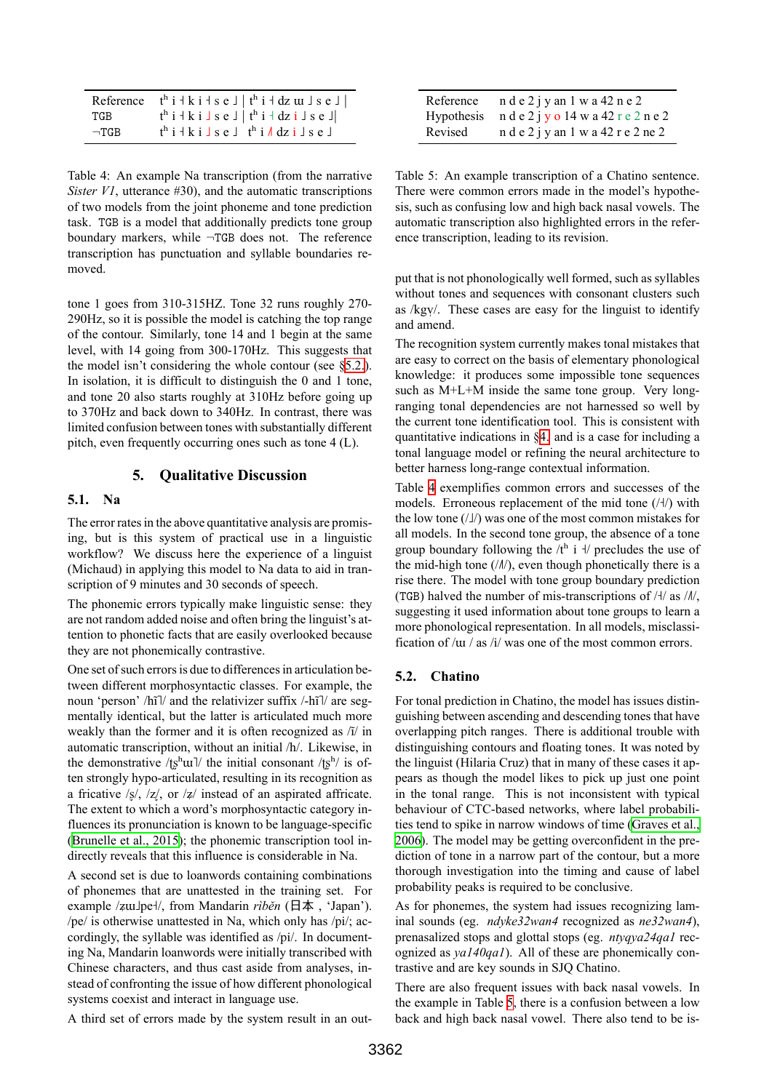| Reference  | $t^h$ i + k i + s e $\perp$   $t^h$ i + dz $\mu$ J s e $\perp$                                 |
|------------|------------------------------------------------------------------------------------------------|
| TGB        | $t^h$ i + k i $\vert s \vert$ s e $\vert \vert t^h$ i + dz i $\vert s \vert$ s e $\vert \vert$ |
| $\neg TGB$ | $t^h$ i + k i $\rfloor$ s e $\rfloor$ $t^h$ i $\land$ dz i $\rfloor$ s e $\rfloor$             |

<span id="page-6-1"></span>Table 4: An example Na transcription (from the narrative *Sister V1*, utterance #30), and the automatic transcriptions of two models from the joint phoneme and tone prediction task. TGB is a model that additionally predicts tone group boundary markers, while *¬*TGB does not. The reference transcription has punctuation and syllable boundaries removed.

tone 1 goes from 310-315HZ. Tone 32 runs roughly 270- 290Hz, so it is possible the model is catching the top range of the contour. Similarly, tone 14 and 1 begin at the same level, with 14 going from 300-170Hz. This suggests that the model isn't considering the whole contour (see [§5.2.](#page-6-0)). In isolation, it is difficult to distinguish the 0 and 1 tone, and tone 20 also starts roughly at 310Hz before going up to 370Hz and back down to 340Hz. In contrast, there was limited confusion between tones with substantially different pitch, even frequently occurring ones such as tone 4 (L).

# **5. Qualitative Discussion**

#### **5.1. Na**

The error rates in the above quantitative analysis are promising, but is this system of practical use in a linguistic workflow? We discuss here the experience of a linguist (Michaud) in applying this model to Na data to aid in transcription of 9 minutes and 30 seconds of speech.

The phonemic errors typically make linguistic sense: they are not random added noise and often bring the linguist's attention to phonetic facts that are easily overlooked because they are not phonemically contrastive.

One set of such errors is due to differences in articulation between different morphosyntactic classes. For example, the noun 'person' /hĩ]/ and the relativizer suffix /-hĩ]/ are segmentally identical, but the latter is articulated much more weakly than the former and it is often recognized as /ĩ/ in automatic transcription, without an initial /h/. Likewise, in the demonstrative /tsh ull the initial consonant /tsh is often strongly hypo-articulated, resulting in its recognition as a fricative  $\frac{1}{5}$ ,  $\frac{1}{2}$ , or  $\frac{1}{2}$  instead of an aspirated affricate. The extent to which a word's morphosyntactic category influences its pronunciation is known to be language-specific [\(Brunelle et al., 2015\)](#page-8-25); the phonemic transcription tool indirectly reveals that this influence is considerable in Na.

A second set is due to loanwords containing combinations of phonemes that are unattested in the training set. For example /ʑɯ˩pe˧/, from Mandarin *rìběn* (日本 , 'Japan'). /pe/ is otherwise unattested in Na, which only has /pi/; accordingly, the syllable was identified as /pi/. In documenting Na, Mandarin loanwords were initially transcribed with Chinese characters, and thus cast aside from analyses, instead of confronting the issue of how different phonological systems coexist and interact in language use.

A third set of errors made by the system result in an out-

| Reference | $n$ d e 2 j y an 1 w a 42 n e 2                  |
|-----------|--------------------------------------------------|
|           | Hypothesis $n d e 2 j y o 14 w a 42 r e 2 n e 2$ |
| Revised   | $n$ d e 2 j y an 1 w a 42 r e 2 ne 2             |

<span id="page-6-2"></span>Table 5: An example transcription of a Chatino sentence. There were common errors made in the model's hypothesis, such as confusing low and high back nasal vowels. The automatic transcription also highlighted errors in the reference transcription, leading to its revision.

put that is not phonologically well formed, such as syllables without tones and sequences with consonant clusters such as  $\frac{1}{\sqrt{2}}$ . These cases are easy for the linguist to identify and amend.

The recognition system currently makes tonal mistakes that are easy to correct on the basis of elementary phonological knowledge: it produces some impossible tone sequences such as M+L+M inside the same tone group. Very longranging tonal dependencies are not harnessed so well by the current tone identification tool. This is consistent with quantitative indications in [§4.](#page-3-1) and is a case for including a tonal language model or refining the neural architecture to better harness long-range contextual information.

Table [4](#page-6-1) exemplifies common errors and successes of the models. Erroneous replacement of the mid tone (/ $\frac{1}{1}$ ) with the low tone  $(|\mathbf{I}|)$  was one of the most common mistakes for all models. In the second tone group, the absence of a tone group boundary following the  $/t<sup>h</sup>$  i  $\frac{1}{t}$  precludes the use of the mid-high tone  $(\Lambda / \Lambda)$ , even though phonetically there is a rise there. The model with tone group boundary prediction (TGB) halved the number of mis-transcriptions of  $/$ √/ as  $/$ *M*, suggesting it used information about tone groups to learn a more phonological representation. In all models, misclassification of /ɯ / as /i/ was one of the most common errors.

## <span id="page-6-0"></span>**5.2. Chatino**

For tonal prediction in Chatino, the model has issues distinguishing between ascending and descending tones that have overlapping pitch ranges. There is additional trouble with distinguishing contours and floating tones. It was noted by the linguist (Hilaria Cruz) that in many of these cases it appears as though the model likes to pick up just one point in the tonal range. This is not inconsistent with typical behaviour of CTC-based networks, where label probabilities tend to spike in narrow windows of time [\(Graves et al.,](#page-8-7) [2006\)](#page-8-7). The model may be getting overconfident in the prediction of tone in a narrow part of the contour, but a more thorough investigation into the timing and cause of label probability peaks is required to be conclusive.

As for phonemes, the system had issues recognizing laminal sounds (eg. *ndyke32wan4* recognized as *ne32wan4*), prenasalized stops and glottal stops (eg. *ntyqya24qa1* recognized as *ya140qa1*). All of these are phonemically contrastive and are key sounds in SJQ Chatino.

There are also frequent issues with back nasal vowels. In the example in Table [5,](#page-6-2) there is a confusion between a low back and high back nasal vowel. There also tend to be is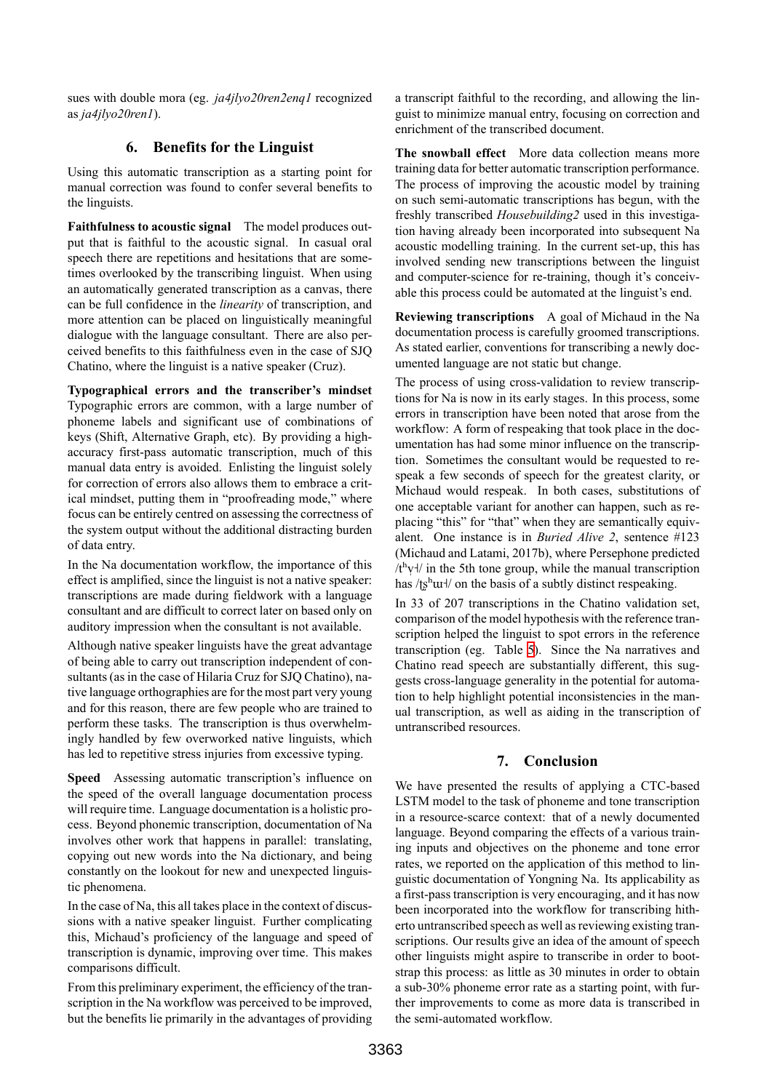sues with double mora (eg. *ja4jlyo20ren2enq1* recognized as *ja4jlyo20ren1*).

# **6. Benefits for the Linguist**

Using this automatic transcription as a starting point for manual correction was found to confer several benefits to the linguists.

**Faithfulness to acoustic signal** The model produces output that is faithful to the acoustic signal. In casual oral speech there are repetitions and hesitations that are sometimes overlooked by the transcribing linguist. When using an automatically generated transcription as a canvas, there can be full confidence in the *linearity* of transcription, and more attention can be placed on linguistically meaningful dialogue with the language consultant. There are also perceived benefits to this faithfulness even in the case of SJQ Chatino, where the linguist is a native speaker (Cruz).

**Typographical errors and the transcriber's mindset** Typographic errors are common, with a large number of phoneme labels and significant use of combinations of keys (Shift, Alternative Graph, etc). By providing a highaccuracy first-pass automatic transcription, much of this manual data entry is avoided. Enlisting the linguist solely for correction of errors also allows them to embrace a critical mindset, putting them in "proofreading mode," where focus can be entirely centred on assessing the correctness of the system output without the additional distracting burden of data entry.

In the Na documentation workflow, the importance of this effect is amplified, since the linguist is not a native speaker: transcriptions are made during fieldwork with a language consultant and are difficult to correct later on based only on auditory impression when the consultant is not available.

Although native speaker linguists have the great advantage of being able to carry out transcription independent of consultants (as in the case of Hilaria Cruz for SJO Chatino), native language orthographies are for the most part very young and for this reason, there are few people who are trained to perform these tasks. The transcription is thus overwhelmingly handled by few overworked native linguists, which has led to repetitive stress injuries from excessive typing.

**Speed** Assessing automatic transcription's influence on the speed of the overall language documentation process will require time. Language documentation is a holistic process. Beyond phonemic transcription, documentation of Na involves other work that happens in parallel: translating, copying out new words into the Na dictionary, and being constantly on the lookout for new and unexpected linguistic phenomena.

In the case of Na, this all takes place in the context of discussions with a native speaker linguist. Further complicating this, Michaud's proficiency of the language and speed of transcription is dynamic, improving over time. This makes comparisons difficult.

From this preliminary experiment, the efficiency of the transcription in the Na workflow was perceived to be improved, but the benefits lie primarily in the advantages of providing a transcript faithful to the recording, and allowing the linguist to minimize manual entry, focusing on correction and enrichment of the transcribed document.

**The snowball effect** More data collection means more training data for better automatic transcription performance. The process of improving the acoustic model by training on such semi-automatic transcriptions has begun, with the freshly transcribed *Housebuilding2* used in this investigation having already been incorporated into subsequent Na acoustic modelling training. In the current set-up, this has involved sending new transcriptions between the linguist and computer-science for re-training, though it's conceivable this process could be automated at the linguist's end.

**Reviewing transcriptions** A goal of Michaud in the Na documentation process is carefully groomed transcriptions. As stated earlier, conventions for transcribing a newly documented language are not static but change.

The process of using cross-validation to review transcriptions for Na is now in its early stages. In this process, some errors in transcription have been noted that arose from the workflow: A form of respeaking that took place in the documentation has had some minor influence on the transcription. Sometimes the consultant would be requested to respeak a few seconds of speech for the greatest clarity, or Michaud would respeak. In both cases, substitutions of one acceptable variant for another can happen, such as replacing "this" for "that" when they are semantically equivalent. One instance is in *Buried Alive 2*, sentence #123 (Michaud and Latami, 2017b), where Persephone predicted  $/t<sup>h</sup>y<sub>+</sub>/$  in the 5th tone group, while the manual transcription has /tshul/ on the basis of a subtly distinct respeaking.

In 33 of 207 transcriptions in the Chatino validation set, comparison of the model hypothesis with the reference transcription helped the linguist to spot errors in the reference transcription (eg. Table [5](#page-6-2)). Since the Na narratives and Chatino read speech are substantially different, this suggests cross-language generality in the potential for automation to help highlight potential inconsistencies in the manual transcription, as well as aiding in the transcription of untranscribed resources.

# **7. Conclusion**

We have presented the results of applying a CTC-based LSTM model to the task of phoneme and tone transcription in a resource-scarce context: that of a newly documented language. Beyond comparing the effects of a various training inputs and objectives on the phoneme and tone error rates, we reported on the application of this method to linguistic documentation of Yongning Na. Its applicability as a first-pass transcription is very encouraging, and it has now been incorporated into the workflow for transcribing hitherto untranscribed speech as well as reviewing existing transcriptions. Our results give an idea of the amount of speech other linguists might aspire to transcribe in order to bootstrap this process: as little as 30 minutes in order to obtain a sub-30% phoneme error rate as a starting point, with further improvements to come as more data is transcribed in the semi-automated workflow.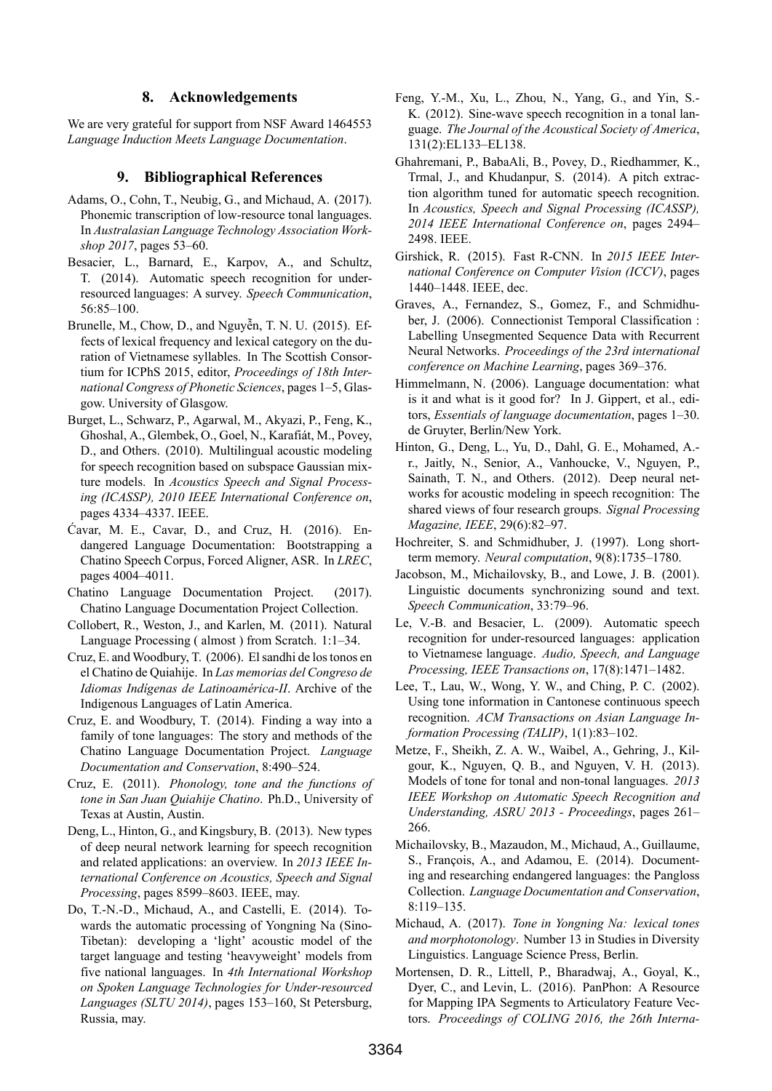## **8. Acknowledgements**

We are very grateful for support from NSF Award 1464553 *Language Induction Meets Language Documentation*.

#### **9. Bibliographical References**

- <span id="page-8-13"></span>Adams, O., Cohn, T., Neubig, G., and Michaud, A. (2017). Phonemic transcription of low-resource tonal languages. In *Australasian Language Technology Association Workshop 2017*, pages 53–60.
- <span id="page-8-1"></span>Besacier, L., Barnard, E., Karpov, A., and Schultz, T. (2014). Automatic speech recognition for underresourced languages: A survey. *Speech Communication*, 56:85–100.
- <span id="page-8-25"></span>Brunelle, M., Chow, D., and Nguyễn, T. N. U. (2015). Effects of lexical frequency and lexical category on the duration of Vietnamese syllables. In The Scottish Consortium for ICPhS 2015, editor, *Proceedings of 18th International Congress of Phonetic Sciences*, pages 1–5, Glasgow. University of Glasgow.
- <span id="page-8-2"></span>Burget, L., Schwarz, P., Agarwal, M., Akyazi, P., Feng, K., Ghoshal, A., Glembek, O., Goel, N., Karafiát, M., Povey, D., and Others. (2010). Multilingual acoustic modeling for speech recognition based on subspace Gaussian mixture models. In *Acoustics Speech and Signal Processing (ICASSP), 2010 IEEE International Conference on*, pages 4334–4337. IEEE.
- <span id="page-8-19"></span>Ćavar, M. E., Cavar, D., and Cruz, H. (2016). Endangered Language Documentation: Bootstrapping a Chatino Speech Corpus, Forced Aligner, ASR. In *LREC*, pages 4004–4011.
- <span id="page-8-11"></span>Chatino Language Documentation Project. (2017). Chatino Language Documentation Project Collection.
- <span id="page-8-20"></span>Collobert, R., Weston, J., and Karlen, M. (2011). Natural Language Processing ( almost ) from Scratch. 1:1–34.
- <span id="page-8-8"></span>Cruz, E. and Woodbury, T. (2006). El sandhi de los tonos en el Chatino de Quiahije. In *Las memorias del Congreso de Idiomas Indígenas de Latinoamérica-II*. Archive of the Indigenous Languages of Latin America.
- <span id="page-8-23"></span>Cruz, E. and Woodbury, T. (2014). Finding a way into a family of tone languages: The story and methods of the Chatino Language Documentation Project. *Language Documentation and Conservation*, 8:490–524.
- <span id="page-8-9"></span>Cruz, E. (2011). *Phonology, tone and the functions of tone in San Juan Quiahije Chatino*. Ph.D., University of Texas at Austin, Austin.
- <span id="page-8-21"></span>Deng, L., Hinton, G., and Kingsbury, B. (2013). New types of deep neural network learning for speech recognition and related applications: an overview. In *2013 IEEE International Conference on Acoustics, Speech and Signal Processing*, pages 8599–8603. IEEE, may.
- <span id="page-8-12"></span>Do, T.-N.-D., Michaud, A., and Castelli, E. (2014). Towards the automatic processing of Yongning Na (Sino-Tibetan): developing a 'light' acoustic model of the target language and testing 'heavyweight' models from five national languages. In *4th International Workshop on Spoken Language Technologies for Under-resourced Languages (SLTU 2014)*, pages 153–160, St Petersburg, Russia, may.
- <span id="page-8-6"></span>Feng, Y.-M., Xu, L., Zhou, N., Yang, G., and Yin, S.- K. (2012). Sine-wave speech recognition in a tonal language. *The Journal of the Acoustical Society of America*, 131(2):EL133–EL138.
- <span id="page-8-17"></span>Ghahremani, P., BabaAli, B., Povey, D., Riedhammer, K., Trmal, J., and Khudanpur, S. (2014). A pitch extraction algorithm tuned for automatic speech recognition. In *Acoustics, Speech and Signal Processing (ICASSP), 2014 IEEE International Conference on*, pages 2494– 2498. IEEE.
- <span id="page-8-22"></span>Girshick, R. (2015). Fast R-CNN. In *2015 IEEE International Conference on Computer Vision (ICCV)*, pages 1440–1448. IEEE, dec.
- <span id="page-8-7"></span>Graves, A., Fernandez, S., Gomez, F., and Schmidhuber, J. (2006). Connectionist Temporal Classification : Labelling Unsegmented Sequence Data with Recurrent Neural Networks. *Proceedings of the 23rd international conference on Machine Learning*, pages 369–376.
- <span id="page-8-0"></span>Himmelmann, N. (2006). Language documentation: what is it and what is it good for? In J. Gippert, et al., editors, *Essentials of language documentation*, pages 1–30. de Gruyter, Berlin/New York.
- <span id="page-8-3"></span>Hinton, G., Deng, L., Yu, D., Dahl, G. E., Mohamed, A. r., Jaitly, N., Senior, A., Vanhoucke, V., Nguyen, P., Sainath, T. N., and Others. (2012). Deep neural networks for acoustic modeling in speech recognition: The shared views of four research groups. *Signal Processing Magazine, IEEE*, 29(6):82–97.
- <span id="page-8-14"></span>Hochreiter, S. and Schmidhuber, J. (1997). Long shortterm memory. *Neural computation*, 9(8):1735–1780.
- <span id="page-8-24"></span>Jacobson, M., Michailovsky, B., and Lowe, J. B. (2001). Linguistic documents synchronizing sound and text. *Speech Communication*, 33:79–96.
- <span id="page-8-5"></span>Le, V.-B. and Besacier, L. (2009). Automatic speech recognition for under-resourced languages: application to Vietnamese language. *Audio, Speech, and Language Processing, IEEE Transactions on*, 17(8):1471–1482.
- <span id="page-8-16"></span>Lee, T., Lau, W., Wong, Y. W., and Ching, P. C. (2002). Using tone information in Cantonese continuous speech recognition. *ACM Transactions on Asian Language Information Processing (TALIP)*, 1(1):83–102.
- <span id="page-8-4"></span>Metze, F., Sheikh, Z. A. W., Waibel, A., Gehring, J., Kilgour, K., Nguyen, Q. B., and Nguyen, V. H. (2013). Models of tone for tonal and non-tonal languages. *2013 IEEE Workshop on Automatic Speech Recognition and Understanding, ASRU 2013 - Proceedings*, pages 261– 266.
- <span id="page-8-18"></span>Michailovsky, B., Mazaudon, M., Michaud, A., Guillaume, S., François, A., and Adamou, E. (2014). Documenting and researching endangered languages: the Pangloss Collection. *Language Documentation and Conservation*, 8:119–135.
- <span id="page-8-10"></span>Michaud, A. (2017). *Tone in Yongning Na: lexical tones and morphotonology*. Number 13 in Studies in Diversity Linguistics. Language Science Press, Berlin.
- <span id="page-8-15"></span>Mortensen, D. R., Littell, P., Bharadwaj, A., Goyal, K., Dyer, C., and Levin, L. (2016). PanPhon: A Resource for Mapping IPA Segments to Articulatory Feature Vectors. *Proceedings of COLING 2016, the 26th Interna-*